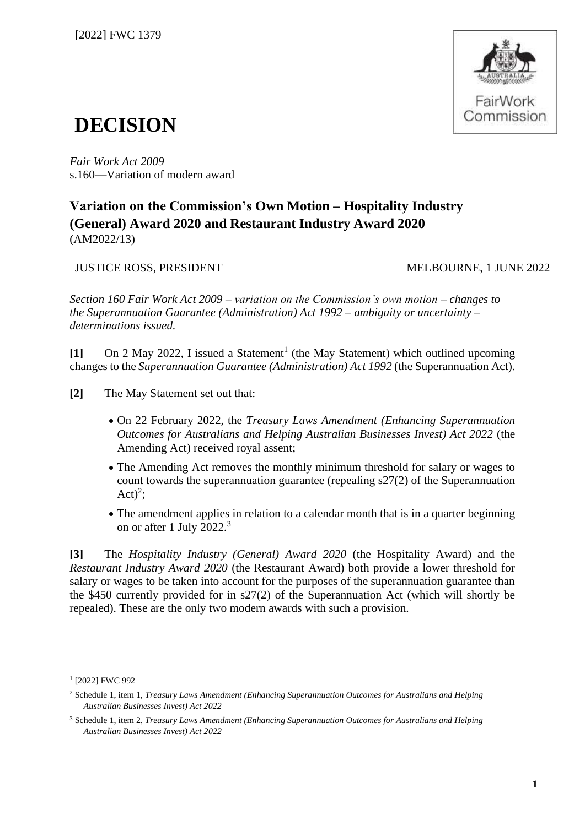

## **DECISION**

*Fair Work Act 2009*  s.160—Variation of modern award

## **Variation on the Commission's Own Motion – Hospitality Industry (General) Award 2020 and Restaurant Industry Award 2020** (AM2022/13)

JUSTICE ROSS, PRESIDENT MELBOURNE, 1 JUNE 2022

*Section 160 Fair Work Act 2009 – variation on the Commission's own motion – changes to the Superannuation Guarantee (Administration) Act 1992 – ambiguity or uncertainty – determinations issued.*

[1] On 2 May 2022, I issued a Statement<sup>1</sup> (the May Statement) which outlined upcoming changes to the *Superannuation Guarantee (Administration) Act 1992* (the Superannuation Act).

**[2]** The May Statement set out that:

- On 22 February 2022, the *Treasury Laws Amendment (Enhancing Superannuation Outcomes for Australians and Helping Australian Businesses Invest) Act 2022* (the Amending Act) received royal assent;
- The Amending Act removes the monthly minimum threshold for salary or wages to count towards the superannuation guarantee (repealing s27(2) of the Superannuation Act)<sup>2</sup>;
- The amendment applies in relation to a calendar month that is in a quarter beginning on or after 1 July 2022.<sup>3</sup>

**[3]** The *Hospitality Industry (General) Award 2020* (the Hospitality Award) and the *Restaurant Industry Award 2020* (the Restaurant Award) both provide a lower threshold for salary or wages to be taken into account for the purposes of the superannuation guarantee than the \$450 currently provided for in s27(2) of the Superannuation Act (which will shortly be repealed). These are the only two modern awards with such a provision.

<sup>1</sup> [2022] FWC 992

<sup>2</sup> Schedule 1, item 1, *Treasury Laws Amendment (Enhancing Superannuation Outcomes for Australians and Helping Australian Businesses Invest) Act 2022*

<sup>3</sup> Schedule 1, item 2, *Treasury Laws Amendment (Enhancing Superannuation Outcomes for Australians and Helping Australian Businesses Invest) Act 2022*